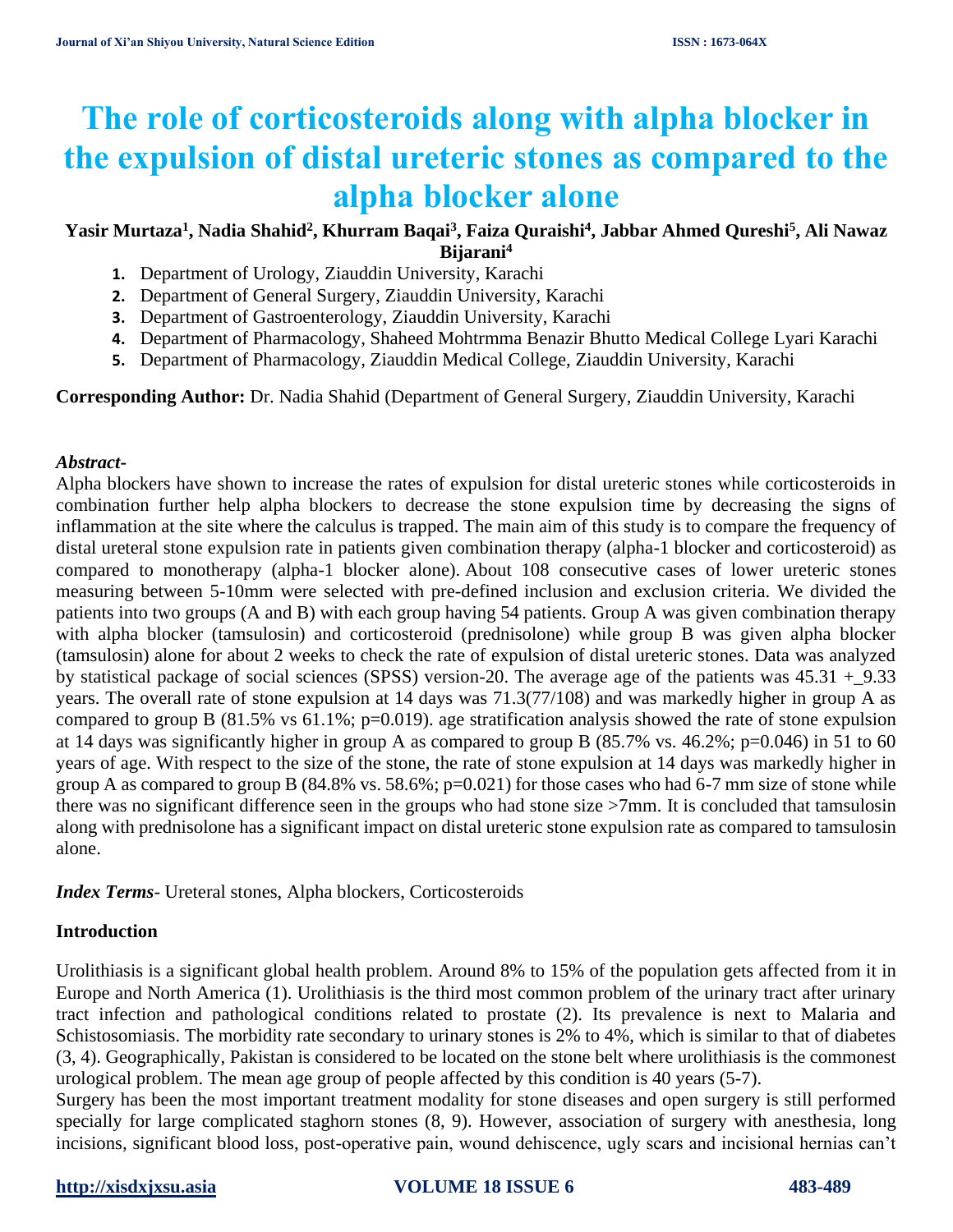# **The role of corticosteroids along with alpha blocker in the expulsion of distal ureteric stones as compared to the alpha blocker alone**

# **Yasir Murtaza<sup>1</sup> , Nadia Shahid<sup>2</sup> , Khurram Baqai<sup>3</sup> , Faiza Quraishi<sup>4</sup> , Jabbar Ahmed Qureshi<sup>5</sup> , Ali Nawaz Bijarani<sup>4</sup>**

- **1.** Department of Urology, Ziauddin University, Karachi
- **2.** Department of General Surgery, Ziauddin University, Karachi
- **3.** Department of Gastroenterology, Ziauddin University, Karachi
- **4.** Department of Pharmacology, Shaheed Mohtrmma Benazir Bhutto Medical College Lyari Karachi
- **5.** Department of Pharmacology, Ziauddin Medical College, Ziauddin University, Karachi

#### **Corresponding Author:** Dr. Nadia Shahid (Department of General Surgery, Ziauddin University, Karachi

#### *Abstract***-**

Alpha blockers have shown to increase the rates of expulsion for distal ureteric stones while corticosteroids in combination further help alpha blockers to decrease the stone expulsion time by decreasing the signs of inflammation at the site where the calculus is trapped. The main aim of this study is to compare the frequency of distal ureteral stone expulsion rate in patients given combination therapy (alpha-1 blocker and corticosteroid) as compared to monotherapy (alpha-1 blocker alone). About 108 consecutive cases of lower ureteric stones measuring between 5-10mm were selected with pre-defined inclusion and exclusion criteria. We divided the patients into two groups (A and B) with each group having 54 patients. Group A was given combination therapy with alpha blocker (tamsulosin) and corticosteroid (prednisolone) while group B was given alpha blocker (tamsulosin) alone for about 2 weeks to check the rate of expulsion of distal ureteric stones. Data was analyzed by statistical package of social sciences (SPSS) version-20. The average age of the patients was 45.31 +\_9.33 years. The overall rate of stone expulsion at 14 days was 71.3(77/108) and was markedly higher in group A as compared to group B (81.5% vs 61.1%; p=0.019). age stratification analysis showed the rate of stone expulsion at 14 days was significantly higher in group A as compared to group B (85.7% vs. 46.2%; p=0.046) in 51 to 60 years of age. With respect to the size of the stone, the rate of stone expulsion at 14 days was markedly higher in group A as compared to group B (84.8% vs. 58.6%; p=0.021) for those cases who had 6-7 mm size of stone while there was no significant difference seen in the groups who had stone size >7mm. It is concluded that tamsulosin along with prednisolone has a significant impact on distal ureteric stone expulsion rate as compared to tamsulosin alone.

*Index Terms*- Ureteral stones, Alpha blockers, Corticosteroids

#### **Introduction**

Urolithiasis is a significant global health problem. Around 8% to 15% of the population gets affected from it in Europe and North America (1). Urolithiasis is the third most common problem of the urinary tract after urinary tract infection and pathological conditions related to prostate (2). Its prevalence is next to Malaria and Schistosomiasis. The morbidity rate secondary to urinary stones is 2% to 4%, which is similar to that of diabetes (3, 4). Geographically, Pakistan is considered to be located on the stone belt where urolithiasis is the commonest urological problem. The mean age group of people affected by this condition is 40 years (5-7).

Surgery has been the most important treatment modality for stone diseases and open surgery is still performed specially for large complicated staghorn stones (8, 9). However, association of surgery with anesthesia, long incisions, significant blood loss, post-operative pain, wound dehiscence, ugly scars and incisional hernias can't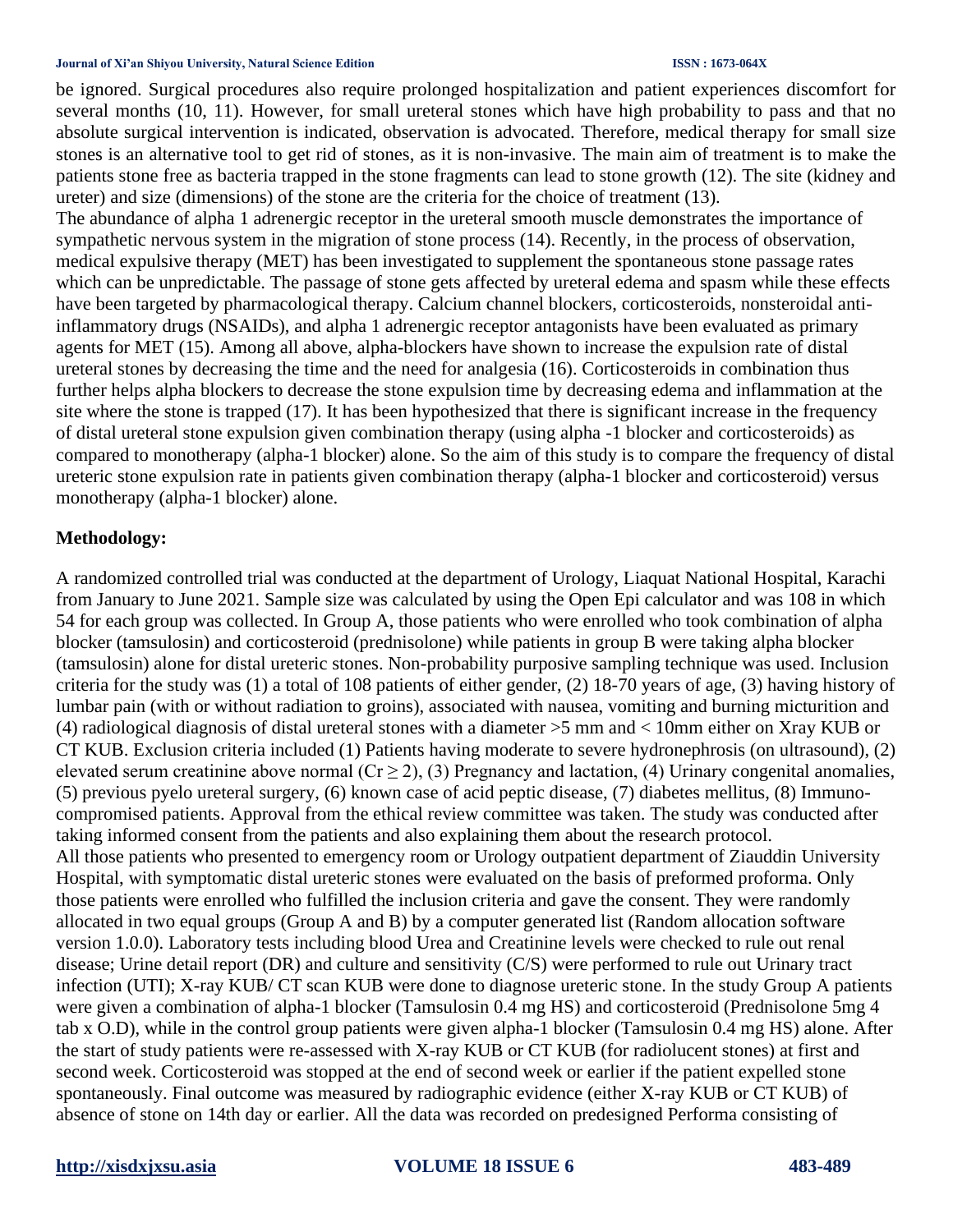#### **Journal of Xi'an Shiyou University, Natural Science Edition ISSN : 1673-064X**

be ignored. Surgical procedures also require prolonged hospitalization and patient experiences discomfort for several months (10, 11). However, for small ureteral stones which have high probability to pass and that no absolute surgical intervention is indicated, observation is advocated. Therefore, medical therapy for small size stones is an alternative tool to get rid of stones, as it is non-invasive. The main aim of treatment is to make the patients stone free as bacteria trapped in the stone fragments can lead to stone growth (12). The site (kidney and ureter) and size (dimensions) of the stone are the criteria for the choice of treatment (13).

The abundance of alpha 1 adrenergic receptor in the ureteral smooth muscle demonstrates the importance of sympathetic nervous system in the migration of stone process (14). Recently, in the process of observation, medical expulsive therapy (MET) has been investigated to supplement the spontaneous stone passage rates which can be unpredictable. The passage of stone gets affected by ureteral edema and spasm while these effects have been targeted by pharmacological therapy. Calcium channel blockers, corticosteroids, nonsteroidal antiinflammatory drugs (NSAIDs), and alpha 1 adrenergic receptor antagonists have been evaluated as primary agents for MET (15). Among all above, alpha-blockers have shown to increase the expulsion rate of distal ureteral stones by decreasing the time and the need for analgesia (16). Corticosteroids in combination thus further helps alpha blockers to decrease the stone expulsion time by decreasing edema and inflammation at the site where the stone is trapped (17). It has been hypothesized that there is significant increase in the frequency of distal ureteral stone expulsion given combination therapy (using alpha -1 blocker and corticosteroids) as compared to monotherapy (alpha-1 blocker) alone. So the aim of this study is to compare the frequency of distal ureteric stone expulsion rate in patients given combination therapy (alpha-1 blocker and corticosteroid) versus monotherapy (alpha-1 blocker) alone.

#### **Methodology:**

A randomized controlled trial was conducted at the department of Urology, Liaquat National Hospital, Karachi from January to June 2021. Sample size was calculated by using the Open Epi calculator and was 108 in which 54 for each group was collected. In Group A, those patients who were enrolled who took combination of alpha blocker (tamsulosin) and corticosteroid (prednisolone) while patients in group B were taking alpha blocker (tamsulosin) alone for distal ureteric stones. Non-probability purposive sampling technique was used. Inclusion criteria for the study was (1) a total of 108 patients of either gender, (2) 18-70 years of age, (3) having history of lumbar pain (with or without radiation to groins), associated with nausea, vomiting and burning micturition and (4) radiological diagnosis of distal ureteral stones with a diameter >5 mm and < 10mm either on Xray KUB or CT KUB. Exclusion criteria included (1) Patients having moderate to severe hydronephrosis (on ultrasound), (2) elevated serum creatinine above normal ( $Cr \ge 2$ ), (3) Pregnancy and lactation, (4) Urinary congenital anomalies, (5) previous pyelo ureteral surgery, (6) known case of acid peptic disease, (7) diabetes mellitus, (8) Immunocompromised patients. Approval from the ethical review committee was taken. The study was conducted after taking informed consent from the patients and also explaining them about the research protocol. All those patients who presented to emergency room or Urology outpatient department of Ziauddin University Hospital, with symptomatic distal ureteric stones were evaluated on the basis of preformed proforma. Only those patients were enrolled who fulfilled the inclusion criteria and gave the consent. They were randomly allocated in two equal groups (Group A and B) by a computer generated list (Random allocation software version 1.0.0). Laboratory tests including blood Urea and Creatinine levels were checked to rule out renal disease; Urine detail report (DR) and culture and sensitivity (C/S) were performed to rule out Urinary tract infection (UTI); X-ray KUB/ CT scan KUB were done to diagnose ureteric stone. In the study Group A patients were given a combination of alpha-1 blocker (Tamsulosin 0.4 mg HS) and corticosteroid (Prednisolone 5mg 4 tab x O.D), while in the control group patients were given alpha-1 blocker (Tamsulosin 0.4 mg HS) alone. After the start of study patients were re-assessed with X-ray KUB or CT KUB (for radiolucent stones) at first and second week. Corticosteroid was stopped at the end of second week or earlier if the patient expelled stone spontaneously. Final outcome was measured by radiographic evidence (either X-ray KUB or CT KUB) of absence of stone on 14th day or earlier. All the data was recorded on predesigned Performa consisting of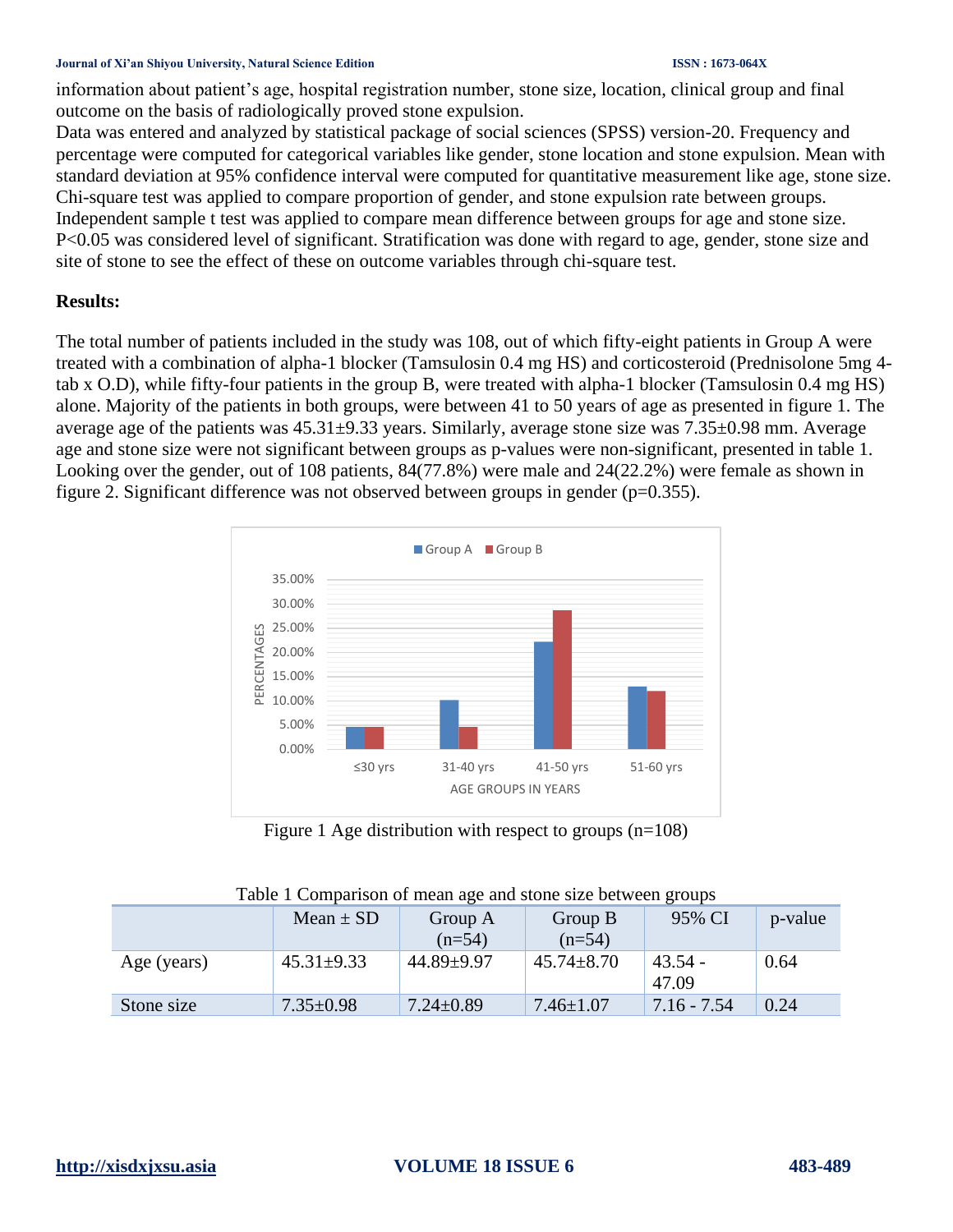#### **Journal of Xi'an Shiyou University, Natural Science Edition ISSN : 1673-064X**

information about patient's age, hospital registration number, stone size, location, clinical group and final outcome on the basis of radiologically proved stone expulsion.

Data was entered and analyzed by statistical package of social sciences (SPSS) version-20. Frequency and percentage were computed for categorical variables like gender, stone location and stone expulsion. Mean with standard deviation at 95% confidence interval were computed for quantitative measurement like age, stone size. Chi-square test was applied to compare proportion of gender, and stone expulsion rate between groups. Independent sample t test was applied to compare mean difference between groups for age and stone size. P<0.05 was considered level of significant. Stratification was done with regard to age, gender, stone size and site of stone to see the effect of these on outcome variables through chi-square test.

## **Results:**

The total number of patients included in the study was 108, out of which fifty-eight patients in Group A were treated with a combination of alpha-1 blocker (Tamsulosin 0.4 mg HS) and corticosteroid (Prednisolone 5mg 4 tab x O.D), while fifty-four patients in the group B, were treated with alpha-1 blocker (Tamsulosin 0.4 mg HS) alone. Majority of the patients in both groups, were between 41 to 50 years of age as presented in figure 1. The average age of the patients was 45.31±9.33 years. Similarly, average stone size was 7.35±0.98 mm. Average age and stone size were not significant between groups as p-values were non-significant, presented in table 1. Looking over the gender, out of 108 patients, 84(77.8%) were male and 24(22.2%) were female as shown in figure 2. Significant difference was not observed between groups in gender  $(p=0.355)$ .



Figure 1 Age distribution with respect to groups (n=108)

|             | Mean $\pm$ SD    | Group A<br>$(n=54)$ | Group B<br>$(n=54)$ | 95% CI             | p-value |
|-------------|------------------|---------------------|---------------------|--------------------|---------|
| Age (years) | $45.31 \pm 9.33$ | 44.89±9.97          | $45.74 \pm 8.70$    | $43.54 -$<br>47.09 | 0.64    |
| Stone size  | $7.35 \pm 0.98$  | $7.24 \pm 0.89$     | $7.46 \pm 1.07$     | $7.16 - 7.54$      | 0.24    |

| Table 1 Comparison of mean age and stone size between groups |  |  |  |
|--------------------------------------------------------------|--|--|--|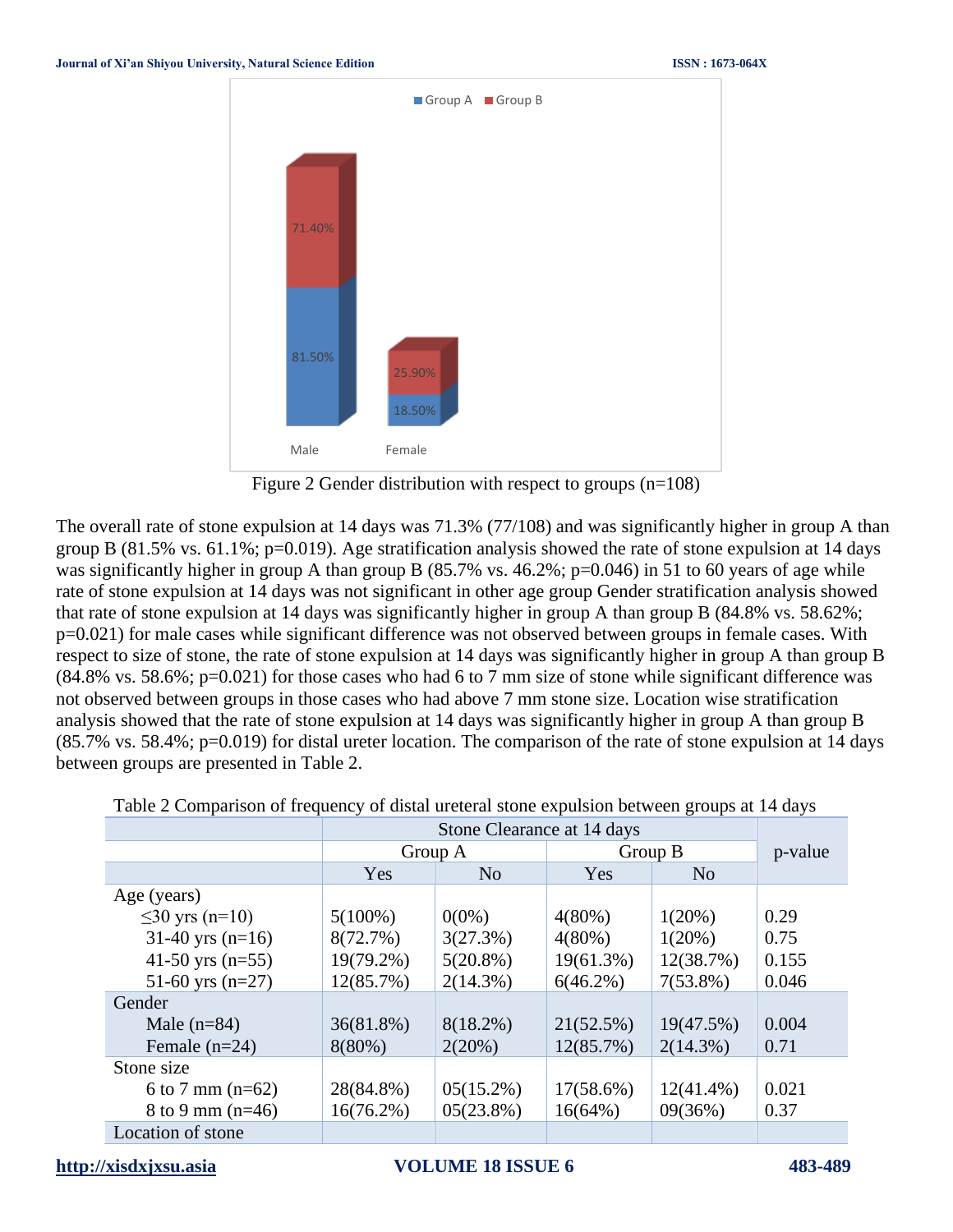

Figure 2 Gender distribution with respect to groups (n=108)

The overall rate of stone expulsion at 14 days was 71.3% (77/108) and was significantly higher in group A than group B (81.5% vs. 61.1%; p=0.019). Age stratification analysis showed the rate of stone expulsion at 14 days was significantly higher in group A than group B (85.7% vs. 46.2%; p=0.046) in 51 to 60 years of age while rate of stone expulsion at 14 days was not significant in other age group Gender stratification analysis showed that rate of stone expulsion at 14 days was significantly higher in group A than group B (84.8% vs. 58.62%; p=0.021) for male cases while significant difference was not observed between groups in female cases. With respect to size of stone, the rate of stone expulsion at 14 days was significantly higher in group A than group B (84.8% vs. 58.6%; p=0.021) for those cases who had 6 to 7 mm size of stone while significant difference was not observed between groups in those cases who had above 7 mm stone size. Location wise stratification analysis showed that the rate of stone expulsion at 14 days was significantly higher in group A than group B (85.7% vs. 58.4%; p=0.019) for distal ureter location. The comparison of the rate of stone expulsion at 14 days between groups are presented in Table 2.

|                      | Stone Clearance at 14 days |                |              |                |         |
|----------------------|----------------------------|----------------|--------------|----------------|---------|
|                      | Group A                    |                | Group B      |                | p-value |
|                      | Yes                        | N <sub>o</sub> | Yes          | N <sub>0</sub> |         |
| Age (years)          |                            |                |              |                |         |
| $\leq$ 30 yrs (n=10) | $5(100\%)$                 | $0(0\%)$       | $4(80\%)$    | $1(20\%)$      | 0.29    |
| $31-40$ yrs (n=16)   | 8(72.7%)                   | 3(27.3%)       | $4(80\%)$    | $1(20\%)$      | 0.75    |
| 41-50 yrs $(n=55)$   | $19(79.2\%)$               | $5(20.8\%)$    | $19(61.3\%)$ | 12(38.7%)      | 0.155   |
| 51-60 yrs $(n=27)$   | 12(85.7%)                  | $2(14.3\%)$    | $6(46.2\%)$  | $7(53.8\%)$    | 0.046   |
| Gender               |                            |                |              |                |         |
| Male $(n=84)$        | $36(81.8\%)$               | $8(18.2\%)$    | 21(52.5%)    | 19(47.5%)      | 0.004   |
| Female $(n=24)$      | $8(80\%)$                  | 2(20%)         | 12(85.7%)    | $2(14.3\%)$    | 0.71    |
| Stone size           |                            |                |              |                |         |
| 6 to 7 mm $(n=62)$   | 28(84.8%)                  | $05(15.2\%)$   | $17(58.6\%)$ | $12(41.4\%)$   | 0.021   |
| 8 to 9 mm $(n=46)$   | 16(76.2%)                  | $05(23.8\%)$   | $16(64\%)$   | 09(36%)        | 0.37    |
| Location of stone    |                            |                |              |                |         |

|  | Table 2 Comparison of frequency of distal ureteral stone expulsion between groups at 14 days |  |  |
|--|----------------------------------------------------------------------------------------------|--|--|
|  |                                                                                              |  |  |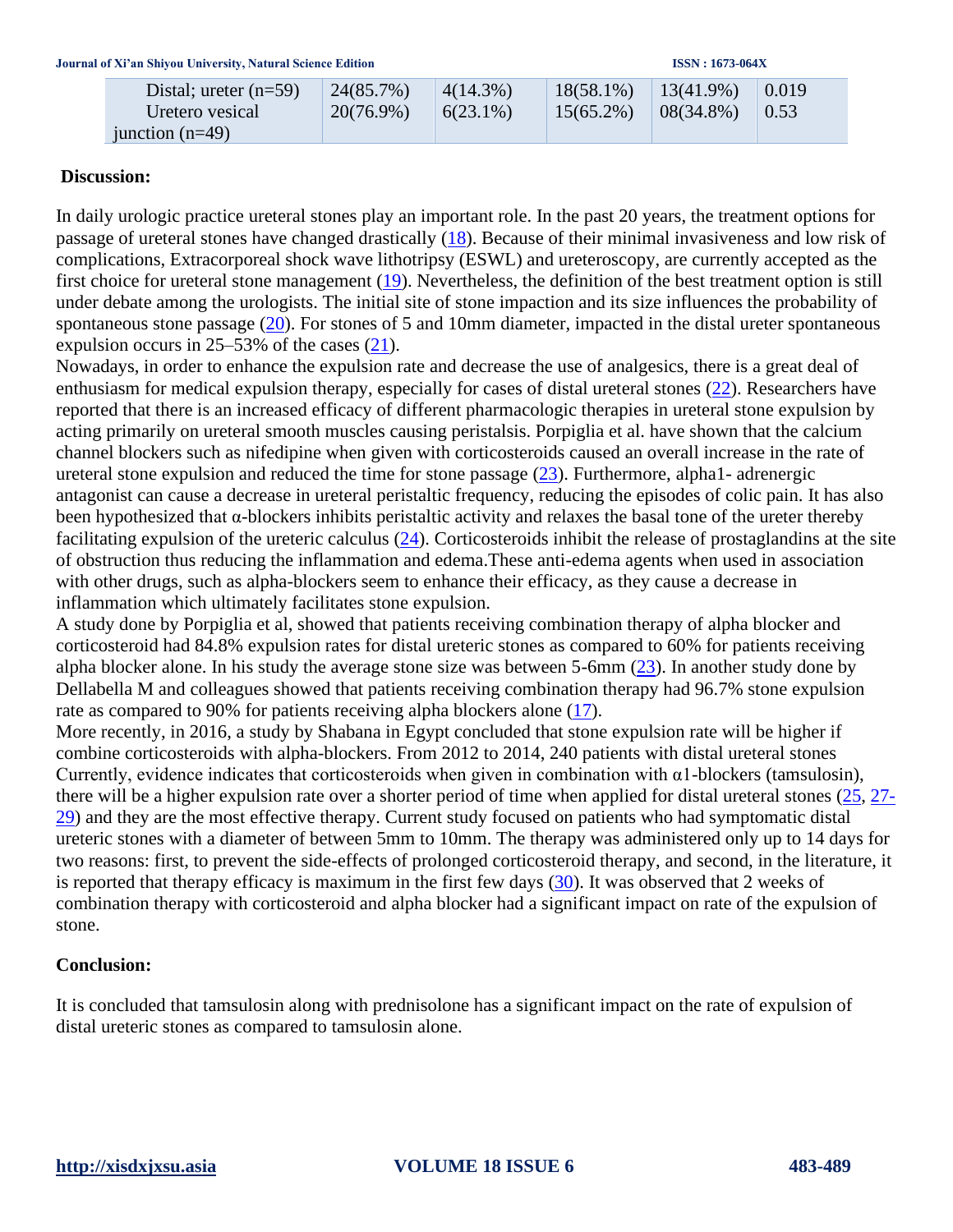| Distal; ureter $(n=59)$ | 24(85.7%)    | $4(14.3\%)$ | $18(58.1\%)$ | $13(41.9\%)$ | 0.019 |
|-------------------------|--------------|-------------|--------------|--------------|-------|
| Uretero vesical         | $20(76.9\%)$ | $6(23.1\%)$ | $15(65.2\%)$ | $08(34.8\%)$ | 0.53  |
| junction $(n=49)$       |              |             |              |              |       |

### **Discussion:**

In daily urologic practice ureteral stones play an important role. In the past 20 years, the treatment options for passage of ureteral stones have changed drastically [\(18\)](file:///C:/Users/Mohi%20Uddin/Google%20Drive/Buisness/Dr%20Nadia%20ZU/Dr%20Yasir/Chinese/Article.docx%23_ENREF_18). Because of their minimal invasiveness and low risk of complications, Extracorporeal shock wave lithotripsy (ESWL) and ureteroscopy, are currently accepted as the first choice for ureteral stone management  $(19)$ . Nevertheless, the definition of the best treatment option is still under debate among the urologists. The initial site of stone impaction and its size influences the probability of spontaneous stone passage [\(20\)](file:///C:/Users/Mohi%20Uddin/Google%20Drive/Buisness/Dr%20Nadia%20ZU/Dr%20Yasir/Chinese/Article.docx%23_ENREF_20). For stones of 5 and 10mm diameter, impacted in the distal ureter spontaneous expulsion occurs in 25–53% of the cases [\(21\)](file:///C:/Users/Mohi%20Uddin/Google%20Drive/Buisness/Dr%20Nadia%20ZU/Dr%20Yasir/Chinese/Article.docx%23_ENREF_21).

Nowadays, in order to enhance the expulsion rate and decrease the use of analgesics, there is a great deal of enthusiasm for medical expulsion therapy, especially for cases of distal ureteral stones [\(22\)](file:///C:/Users/Mohi%20Uddin/Google%20Drive/Buisness/Dr%20Nadia%20ZU/Dr%20Yasir/Chinese/Article.docx%23_ENREF_22). Researchers have reported that there is an increased efficacy of different pharmacologic therapies in ureteral stone expulsion by acting primarily on ureteral smooth muscles causing peristalsis. Porpiglia et al. have shown that the calcium channel blockers such as nifedipine when given with corticosteroids caused an overall increase in the rate of ureteral stone expulsion and reduced the time for stone passage  $(23)$ . Furthermore, alpha1- adrenergic antagonist can cause a decrease in ureteral peristaltic frequency, reducing the episodes of colic pain. It has also been hypothesized that α-blockers inhibits peristaltic activity and relaxes the basal tone of the ureter thereby facilitating expulsion of the ureteric calculus  $(24)$ . Corticosteroids inhibit the release of prostaglandins at the site of obstruction thus reducing the inflammation and edema.These anti-edema agents when used in association with other drugs, such as alpha-blockers seem to enhance their efficacy, as they cause a decrease in inflammation which ultimately facilitates stone expulsion.

A study done by Porpiglia et al, showed that patients receiving combination therapy of alpha blocker and corticosteroid had 84.8% expulsion rates for distal ureteric stones as compared to 60% for patients receiving alpha blocker alone. In his study the average stone size was between 5-6mm [\(23\)](file:///C:/Users/Mohi%20Uddin/Google%20Drive/Buisness/Dr%20Nadia%20ZU/Dr%20Yasir/Chinese/Article.docx%23_ENREF_23). In another study done by Dellabella M and colleagues showed that patients receiving combination therapy had 96.7% stone expulsion rate as compared to 90% for patients receiving alpha blockers alone [\(17\)](file:///C:/Users/Mohi%20Uddin/Google%20Drive/Buisness/Dr%20Nadia%20ZU/Dr%20Yasir/Chinese/Article.docx%23_ENREF_17).

More recently, in 2016, a study by Shabana in Egypt concluded that stone expulsion rate will be higher if combine corticosteroids with alpha-blockers. From 2012 to 2014, 240 patients with distal ureteral stones Currently, evidence indicates that corticosteroids when given in combination with α1-blockers (tamsulosin), there will be a higher expulsion rate over a shorter period of time when applied for distal ureteral stones [\(25,](file:///C:/Users/Mohi%20Uddin/Google%20Drive/Buisness/Dr%20Nadia%20ZU/Dr%20Yasir/Chinese/Article.docx%23_ENREF_25) [27-](file:///C:/Users/Mohi%20Uddin/Google%20Drive/Buisness/Dr%20Nadia%20ZU/Dr%20Yasir/Chinese/Article.docx%23_ENREF_27) [29\)](file:///C:/Users/Mohi%20Uddin/Google%20Drive/Buisness/Dr%20Nadia%20ZU/Dr%20Yasir/Chinese/Article.docx%23_ENREF_27) and they are the most effective therapy. Current study focused on patients who had symptomatic distal ureteric stones with a diameter of between 5mm to 10mm. The therapy was administered only up to 14 days for two reasons: first, to prevent the side-effects of prolonged corticosteroid therapy, and second, in the literature, it is reported that therapy efficacy is maximum in the first few days [\(30\)](file:///C:/Users/Mohi%20Uddin/Google%20Drive/Buisness/Dr%20Nadia%20ZU/Dr%20Yasir/Chinese/Article.docx%23_ENREF_30). It was observed that 2 weeks of combination therapy with corticosteroid and alpha blocker had a significant impact on rate of the expulsion of stone.

## **Conclusion:**

It is concluded that tamsulosin along with prednisolone has a significant impact on the rate of expulsion of distal ureteric stones as compared to tamsulosin alone.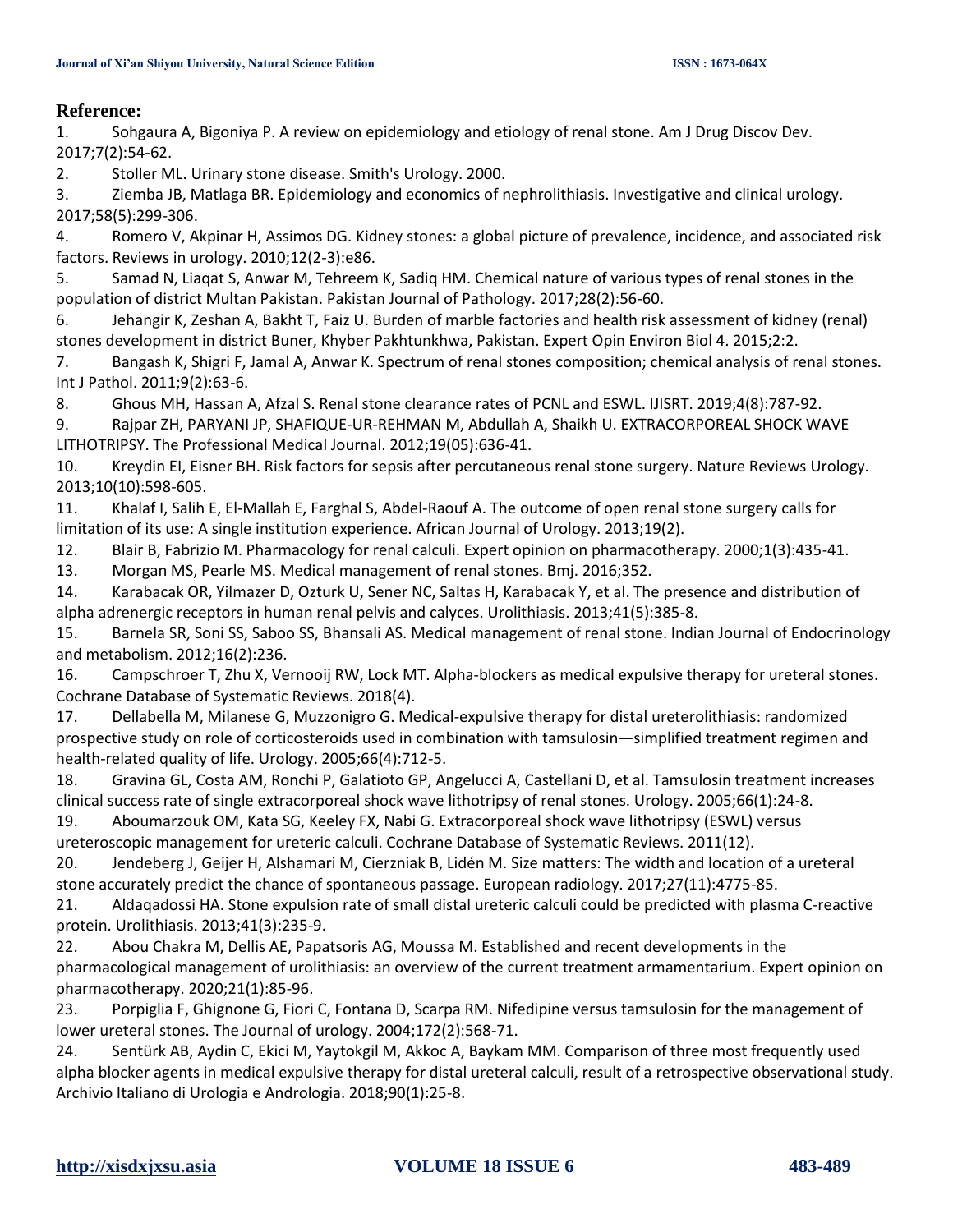#### **Reference:**

1. Sohgaura A, Bigoniya P. A review on epidemiology and etiology of renal stone. Am J Drug Discov Dev. 2017;7(2):54-62.

2. Stoller ML. Urinary stone disease. Smith's Urology. 2000.

3. Ziemba JB, Matlaga BR. Epidemiology and economics of nephrolithiasis. Investigative and clinical urology. 2017;58(5):299-306.

4. Romero V, Akpinar H, Assimos DG. Kidney stones: a global picture of prevalence, incidence, and associated risk factors. Reviews in urology. 2010;12(2-3):e86.

5. Samad N, Liaqat S, Anwar M, Tehreem K, Sadiq HM. Chemical nature of various types of renal stones in the population of district Multan Pakistan. Pakistan Journal of Pathology. 2017;28(2):56-60.

6. Jehangir K, Zeshan A, Bakht T, Faiz U. Burden of marble factories and health risk assessment of kidney (renal) stones development in district Buner, Khyber Pakhtunkhwa, Pakistan. Expert Opin Environ Biol 4. 2015;2:2.

7. Bangash K, Shigri F, Jamal A, Anwar K. Spectrum of renal stones composition; chemical analysis of renal stones. Int J Pathol. 2011;9(2):63-6.

8. Ghous MH, Hassan A, Afzal S. Renal stone clearance rates of PCNL and ESWL. IJISRT. 2019;4(8):787-92.

9. Rajpar ZH, PARYANI JP, SHAFIQUE-UR-REHMAN M, Abdullah A, Shaikh U. EXTRACORPOREAL SHOCK WAVE LITHOTRIPSY. The Professional Medical Journal. 2012;19(05):636-41.

10. Kreydin EI, Eisner BH. Risk factors for sepsis after percutaneous renal stone surgery. Nature Reviews Urology. 2013;10(10):598-605.

11. Khalaf I, Salih E, El-Mallah E, Farghal S, Abdel-Raouf A. The outcome of open renal stone surgery calls for limitation of its use: A single institution experience. African Journal of Urology. 2013;19(2).

12. Blair B, Fabrizio M. Pharmacology for renal calculi. Expert opinion on pharmacotherapy. 2000;1(3):435-41.

13. Morgan MS, Pearle MS. Medical management of renal stones. Bmj. 2016;352.

14. Karabacak OR, Yilmazer D, Ozturk U, Sener NC, Saltas H, Karabacak Y, et al. The presence and distribution of alpha adrenergic receptors in human renal pelvis and calyces. Urolithiasis. 2013;41(5):385-8.

15. Barnela SR, Soni SS, Saboo SS, Bhansali AS. Medical management of renal stone. Indian Journal of Endocrinology and metabolism. 2012;16(2):236.

16. Campschroer T, Zhu X, Vernooij RW, Lock MT. Alpha‐blockers as medical expulsive therapy for ureteral stones. Cochrane Database of Systematic Reviews. 2018(4).

17. Dellabella M, Milanese G, Muzzonigro G. Medical-expulsive therapy for distal ureterolithiasis: randomized prospective study on role of corticosteroids used in combination with tamsulosin—simplified treatment regimen and health-related quality of life. Urology. 2005;66(4):712-5.

18. Gravina GL, Costa AM, Ronchi P, Galatioto GP, Angelucci A, Castellani D, et al. Tamsulosin treatment increases clinical success rate of single extracorporeal shock wave lithotripsy of renal stones. Urology. 2005;66(1):24-8.

19. Aboumarzouk OM, Kata SG, Keeley FX, Nabi G. Extracorporeal shock wave lithotripsy (ESWL) versus ureteroscopic management for ureteric calculi. Cochrane Database of Systematic Reviews. 2011(12).

20. Jendeberg J, Geijer H, Alshamari M, Cierzniak B, Lidén M. Size matters: The width and location of a ureteral stone accurately predict the chance of spontaneous passage. European radiology. 2017;27(11):4775-85.

21. Aldaqadossi HA. Stone expulsion rate of small distal ureteric calculi could be predicted with plasma C-reactive protein. Urolithiasis. 2013;41(3):235-9.

22. Abou Chakra M, Dellis AE, Papatsoris AG, Moussa M. Established and recent developments in the pharmacological management of urolithiasis: an overview of the current treatment armamentarium. Expert opinion on pharmacotherapy. 2020;21(1):85-96.

23. Porpiglia F, Ghignone G, Fiori C, Fontana D, Scarpa RM. Nifedipine versus tamsulosin for the management of lower ureteral stones. The Journal of urology. 2004;172(2):568-71.

24. Sentürk AB, Aydin C, Ekici M, Yaytokgil M, Akkoc A, Baykam MM. Comparison of three most frequently used alpha blocker agents in medical expulsive therapy for distal ureteral calculi, result of a retrospective observational study. Archivio Italiano di Urologia e Andrologia. 2018;90(1):25-8.